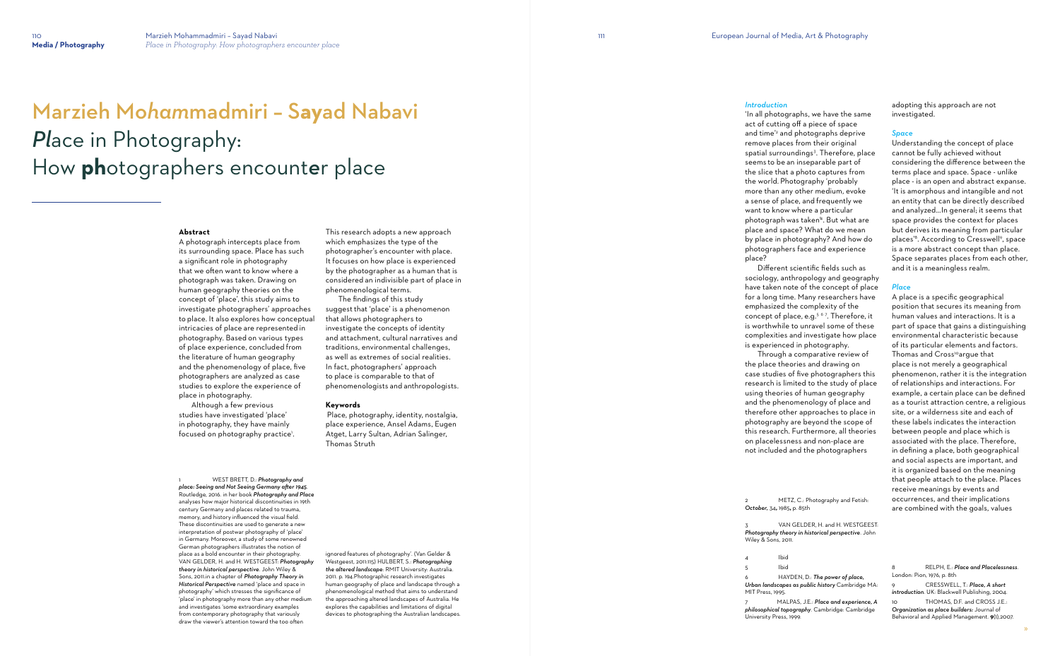# Marzieh Mo*ham*madmiri – S**ay**ad Nabavi *Pl*ace in Photography: How **ph**otographers encount*e*r place

#### **Abstract**

 Although a few previous studies have investigated 'place' in photography, they have mainly focused on photography practice'.

A photograph intercepts place from its surrounding space. Place has such a significant role in photography that we often want to know where a photograph was taken. Drawing on human geography theories on the concept of 'place', this study aims to investigate photographers' approaches to place. It also explores how conceptual intricacies of place are represented in photography. Based on various types of place experience, concluded from the literature of human geography and the phenomenology of place, five photographers are analyzed as case studies to explore the experience of place in photography.

1 WEST BRETT, D.: *Photography and place: Seeing and Not Seeing Germany after 1945*. Routledge, 2016. in her book *Photography and Place* analyses how major historical discontinuities in 19th century Germany and places related to trauma, memory, and history influenced the visual field. These discontinuities are used to generate a new interpretation of postwar photography of 'place' in Germany. Moreover, a study of some renowned German photographers illustrates the notion of place as a bold encounter in their photography. VAN GELDER, H. and H. WESTGEEST: *Photography theory in historical perspective*. John Wiley & Sons, 2011.in a chapter of *Photography Theory in Historical Perspective* named 'place and space in photography' which stresses the significance of 'place' in photography more than any other medium and investigates 'some extraordinary examples from contemporary photography that variously draw the viewer's attention toward the too often

This research adopts a new approach which emphasizes the type of the photographer's encounter with place. It focuses on how place is experienced by the photographer as a human that is considered an indivisible part of place in phenomenological terms.

> METZ, C.: Photography and Fetish: *October,* 34**,** 1985**,** p. 85th

VAN GELDER, H. and H. WESTGEEST: *Photography theory in historical perspective*. John

 The findings of this study suggest that 'place' is a phenomenon that allows photographers to investigate the concepts of identity and attachment, cultural narratives and traditions, environmental challenges, as well as extremes of social realities. In fact, photographers' approach to place is comparable to that of phenomenologists and anthropologists.

#### **Keywords**

Place, photography, identity, nostalgia, place experience, Ansel Adams, Eugen Atget, Larry Sultan, Adrian Salinger, Thomas Struth

ignored features of photography'. (Van Gelder & Westgeest, 2011:115) HULBERT, S.: *Photographing the altered landscape*: RMIT University: Australia. 2011. p. 194.Photographic research investigates human geography of place and landscape through a phenomenological method that aims to understand the approaching altered landscapes of Australia. He explores the capabilities and limitations of digital devices to photographing the Australian landscapes.

# *Introduction*

'In all photographs, we have the same act of cutting off a piece of space and time'<sup>2</sup> and photographs deprive remove places from their original spatial surroundings<sup>3</sup>. Therefore, place seems to be an inseparable part of the slice that a photo captures from the world. Photography 'probably more than any other medium, evoke a sense of place, and frequently we want to know where a particular photograph was taken'<sup>4</sup> . But what are place and space? What do we mean by place in photography? And how do photographers face and experience place?

 Different scientific fields such as sociology, anthropology and geography have taken note of the concept of place for a long time. Many researchers have emphasized the complexity of the concept of place, e.g.<sup>567</sup>. Therefore, it is worthwhile to unravel some of these complexities and investigate how place is experienced in photography.

 Through a comparative review of the place theories and drawing on case studies of five photographers this research is limited to the study of place using theories of human geography and the phenomenology of place and therefore other approaches to place in photography are beyond the scope of this research. Furthermore, all theories on placelessness and non-place are not included and the photographers

Wiley & Sons, 2011.

4 Ibid 5 Ibid 6 HAYDEN, D.: *The power of place, Urban landscapes as public history* Cambridge MA: MIT Press, 1995.

7 MALPAS, J.E.: *Place and experience, A philosophical topography*. Cambridge: Cambridge University Press, 1999.

adopting this approach are not investigated.

#### *Space*

Understanding the concept of place cannot be fully achieved without considering the difference between the terms place and space. Space - unlike place - is an open and abstract expanse. 'It is amorphous and intangible and not an entity that can be directly described and analyzed…In general; it seems that space provides the context for places but derives its meaning from particular places' 8 . According to Cresswell 9 , space is a more abstract concept than place. Space separates places from each other, and it is a meaningless realm.

#### *Place*

A place is a specific geographical position that secures its meaning from human values and interactions. It is a part of space that gains a distinguishing environmental characteristic because of its particular elements and factors. Thomas and Cross<sup>10</sup> argue that place is not merely a geographical phenomenon, rather it is the integration of relationships and interactions. For example, a certain place can be defined as a tourist attraction centre, a religious site, or a wilderness site and each of these labels indicates the interaction between people and place which is associated with the place. Therefore, in defining a place, both geographical and social aspects are important, and it is organized based on the meaning that people attach to the place. Places receive meanings by events and occurrences, and their implications are combined with the goals, values

8 RELPH, E.: *Place and Placelessness*. London: Pion, 1976, p. 8th 9 CRESSWELL, T.: *Place, A short introduction*. UK: Blackwell Publishing, 2004. 10 THOMAS, D.F. and CROSS J.E.:

*Organization as place builders:* Journal of Behavioral and Applied Management. **9**(1),2007.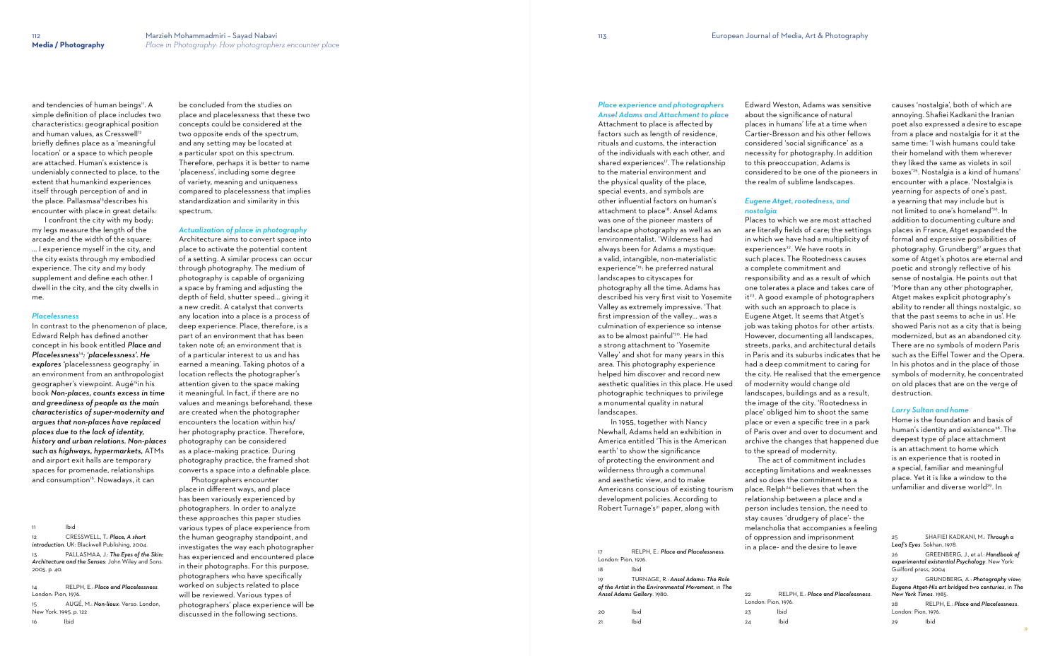and tendencies of human beings". A simple definition of place includes two characteristics: geographical position and human values, as Cresswell<sup>12</sup> briefly defines place as a 'meaningful location' or a space to which people are attached. Human's existence is undeniably connected to place, to the extent that humankind experiences itself through perception of and in the place. Pallasmaa<sup>13</sup>describes his encounter with place in great details:

In contrast to the phenomenon of place, Edward Relph has defined another concept in his book entitled *Place and Placelessness*<sup>14</sup>*: 'placelessness'. He explores '*placelessness geography' in an environment from an anthropologist geographer's viewpoint. Augé<sup>15</sup>in his book *Non-places, counts excess in time and greediness of people as the main characteristics of super-modernity and argues that non-places have replaced places due to the lack of identity, history and urban relations. Non-places such as highways, hypermarkets,* ATMs and airport exit halls are temporary spaces for promenade, relationships and consumption<sup>16</sup>. Nowadays, it can

 I confront the city with my body; my legs measure the length of the arcade and the width of the square; … I experience myself in the city, and the city exists through my embodied experience. The city and my body supplement and define each other. I dwell in the city, and the city dwells in me.

# *Placelessness*

11 Ibid 12 CRESSWELL, T.: *Place, A short introduction*. UK: Blackwell Publishing, 2004. 13 PALLASMAA, J.: *The Eyes of the Skin: Architecture and the Senses*: John Wiley and Sons. 2005. p. 40.

14 RELPH, E.: *Place and Placelessness*. London: Pion, 1976. 15 AUGÉ, M.: *Non-lieux*: Verso: London, New York. 1995. p. 122

16 Ibid

be concluded from the studies on place and placelessness that these two concepts could be considered at the two opposite ends of the spectrum, and any setting may be located at a particular spot on this spectrum. Therefore, perhaps it is better to name 'placeness', including some degree of variety, meaning and uniqueness compared to placelessness that implies standardization and similarity in this spectrum.

*Actualization of place in photography*

 In 1955, together with Nancy Newhall, Adams held an exhibition in America entitled 'This is the American earth' to show the significance of protecting the environment and wilderness through a communal and aesthetic view, and to make Americans conscious of existing tourism development policies. According to Robert Turnage's<sup>21</sup> paper, along with

Architecture aims to convert space into place to activate the potential content of a setting. A similar process can occur through photography. The medium of photography is capable of organizing a space by framing and adjusting the depth of field, shutter speed… giving it a new credit. A catalyst that converts any location into a place is a process of deep experience. Place, therefore, is a part of an environment that has been taken note of; an environment that is of a particular interest to us and has earned a meaning. Taking photos of a location reflects the photographer's attention given to the space making it meaningful. In fact, if there are no values and meanings beforehand, these are created when the photographer encounters the location within his/ her photography practice. Therefore, photography can be considered as a place-making practice. During photography practice, the framed shot converts a space into a definable place.

about the significance of natural to this preoccupation, Adams is

 Photographers encounter place in di fferent ways, and place has been variously experienced by photographers. In order to analyze these approaches this paper studies various types of place experience from the human geography standpoint, and investigates the way each photographer has experienced and encountered place in their photographs. For this purpose, photographers who have specifically worked on subjects related to place will be reviewed. Various types of photographers' place experience will be discussed in the following sections.

## *Place experience and photographers Ansel Adams and Attachment to place*

Attachment to place is a ffected by factors such as length of residence, rituals and customs, the interaction of the individuals with each other, and shared experiences<sup>17</sup>. The relationship to the material environment and the physical quality of the place, special events, and symbols are other influential factors on human's attachment to place<sup>18</sup>. Ansel Adams was one of the pioneer masters of landscape photography as well as an environmentalist. 'Wilderness had always been for Adams a mystique: a valid, intangible, non-materialistic experience'19: he preferred natural landscapes to cityscapes for photography all the time. Adams has described his very first visit to Yosemite Valley as extremely impressive. 'That first impression of the valley… was a culmination of experience so intense as to be almost painful'<sup>20</sup>. He had a strong attachment to 'Yosemite Valley' and shot for many years in this area. This photography experience helped him discover and record new aesthetic qualities in this place. He used photographic techniques to privilege a monumental quality in natural landscapes.

Edward Weston, Adams was sensitive places in humans' life at a time when Cartier-Bresson and his other fellows considered 'social significance' as a necessity for photography. In addition considered to be one of the pioneers in the realm of sublime landscapes.

#### *Eugene Atget, rootedness, and nostalgia*

| 17                  | RELPH, E.: Place and Placelessness.                 | $$ a piace and      |             |
|---------------------|-----------------------------------------------------|---------------------|-------------|
| London: Pion, 1976. |                                                     |                     |             |
| 18                  | Ibid                                                |                     |             |
| 19                  | TURNAGE, R.: Ansel Adams: The Role                  |                     |             |
|                     | of the Artist in the Environmental Movement, in The |                     |             |
|                     | <b>Ansel Adams Gallery.</b> 1980.                   | 22                  | <b>RELP</b> |
|                     |                                                     | London: Pion, 1976. |             |
| 20                  | Ibid                                                | 23                  | Ibid        |
| 21                  | Ibid                                                | 24                  | Ibid        |

Places to which we are most attached are literally fields of care; the settings in which we have had a multiplicity of experiences<sup>22</sup>. We have roots in such places. The Rootedness causes a complete commitment and responsibility and as a result of which one tolerates a place and takes care of it<sup>23</sup>. A good example of photographers with such an approach to place is Eugene Atget. It seems that Atget's job was taking photos for other artists. However, documenting all landscapes, streets, parks, and architectural details in Paris and its suburbs indicates that he had a deep commitment to caring for the city. He realised that the emergence of modernity would change old landscapes, buildings and as a result, the image of the city. 'Rootedness in place' obliged him to shoot the same place or even a specific tree in a park of Paris over and over to document and archive the changes that happened due to the spread of modernity.

 The act of commitment includes accepting limitations and weaknesses and so does the commitment to a place. Relph<sup>24</sup> believes that when the relationship between a place and a person includes tension, the need to stay causes 'drudgery of place'- the melancholia that accompanies a feeling of oppression and imprisonment in a place- and the desire to leave

22 RELPH, E.: *Place and Placelessness*.

causes 'nostalgia', both of which are annoying. Shafiei Kadkani the Iranian poet also expressed a desire to escape from a place and nostalgia for it at the same time: 'I wish humans could take their homeland with them wherever they liked the same as violets in soil boxes' 25 . Nostalgia is a kind of humans' encounter with a place. 'Nostalgia is yearning for aspects of one's past, a yearning that may include but is not limited to one's homeland' 26 . In addition to documenting culture and places in France, Atget expanded the formal and expressive possibilities of photography. Grundberg <sup>27</sup> argues that some of Atget's photos are eternal and poetic and strongly reflective of his sense of nostalgia. He points out that 'More than any other photographer, Atget makes explicit photography's ability to render all things nostalgic, so that the past seems to ache in us'. He showed Paris not as a city that is being modernized, but as an abandoned city. There are no symbols of modern Paris such as the Ei ffel Tower and the Opera. In his photos and in the place of those symbols of modernity, he concentrated on old places that are on the verge of destruction.

# *Larry Sultan and home*

Home is the foundation and basis of human's identity and existence 28 . The deepest type of place attachment is an attachment to home which is an experience that is rooted in a special, familiar and meaningful place. Yet it is like a window to the unfamiliar and diverse world 29 . In

29 Ibid

<sup>25</sup> SHAFIEI KADKANI, M.: *Through a Leaf's Eyes*. Sokhan, 1978.

<sup>26</sup> GREENBERG, J., et al.: *Handbook of experimental existential Psychology*. New York: Guilford press, 2004

<sup>27</sup> GRUNDBERG, A.: *Photography view; Eugene Atget-His art bridged two centuries*, in *The New York Times*. 1985.

<sup>28</sup> RELPH, E.: *Place and Placelessness*. London: Pion, 1976.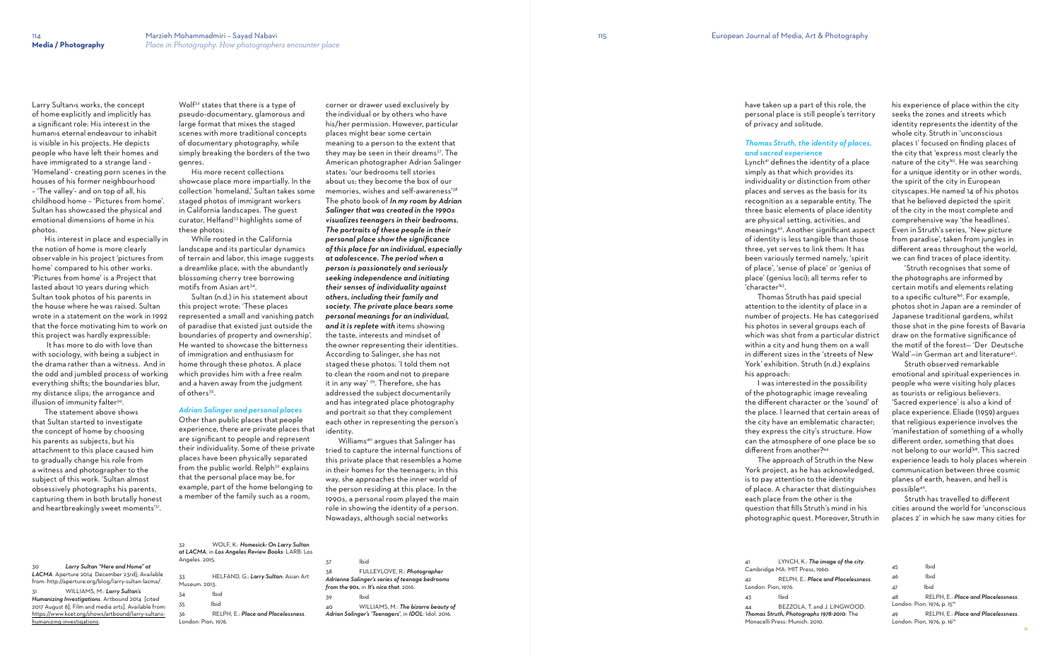Larry Sultan›s works, the concept of home explicitly and implicitly has a significant role: His interest in the human›s eternal endeavour to inhabit is visible in his projects. He depicts people who have left their homes and have immigrated to a strange land - 'Homeland'- creating porn scenes in the houses of his former neighbourhood – 'The valley'- and on top of all, his childhood home – 'Pictures from home'. Sultan has showcased the physical and emotional dimensions of home in his photos.

 It has more to do with love than with sociology, with being a subject in the drama rather than a witness. And in the odd and jumbled process of working everything shifts; the boundaries blur, my distance slips; the arrogance and illusion of immunity falter<sup>30</sup>.

 The statement above shows that Sultan started to investigate the concept of home by choosing his parents as subjects, but his attachment to this place caused him to gradually change his role from a witness and photographer to the subject of this work. 'Sultan almost obsessively photographs his parents, capturing them in both brutally honest and heartbreakingly sweet moments'31.

 His interest in place and especially in the notion of home is more clearly observable in his project 'pictures from home' compared to his other works. 'Pictures from home' is a Project that lasted about 10 years during which Sultan took photos of his parents in the house where he was raised. Sultan wrote in a statement on the work in 1992 that the force motivating him to work on this project was hardly expressible:

Wolf<sup>32</sup> states that there is a type of pseudo-documentary, glamorous and large format that mixes the staged scenes with more traditional concepts of documentary photography, while simply breaking the borders of the two genres.

 While rooted in the California landscape and its particular dynamics of terrain and labor, this image suggests a dreamlike place, with the abundantly blossoming cherry tree borrowing motifs from Asian art<sup>34</sup>.

 Sultan (n.d.) in his statement about this project wrote: 'These places represented a small and vanishing patch of paradise that existed just outside the boundaries of property and ownership'. He wanted to showcase the bitterness of immigration and enthusiasm for home through these photos. A place which provides him with a free realm and a haven away from the judgment of others<sup>35</sup>.

 His more recent collections showcase place more impartially. In the collection 'homeland,' Sultan takes some staged photos of immigrant workers in California landscapes. The guest curator, Helfand<sup>33</sup> highlights some of these photos:

> **Ibid** 38 FULLEYLOVE, R.: *Photographer Adrienne Salinger's series of teenage bedrooms from the 90s*, in *It's nice that*. 2016. 39 Ibid 40 WILLIAMS, M.: *The bizarre beauty of*

|                                                                                                       | WOLF, K.: Homesick: On Larry Sultan<br>32<br>at LACMA, in Los Angeles Review Books: LARB: Los<br>Angeles. 2015. |                                      | 37             |
|-------------------------------------------------------------------------------------------------------|-----------------------------------------------------------------------------------------------------------------|--------------------------------------|----------------|
| Larry Sultan "Here and Home" at<br>30                                                                 |                                                                                                                 |                                      |                |
| LACMA. Aperture 2014 December 23rd]; Available<br>from: http://aperture.org/blog/larry-sultan-lacma/. | 33<br>Museum. 2013.                                                                                             | HELFAND, G.: Larry Sultan: Asian Art | 38<br>A<br>fr  |
| WILLIAMS, M.: Larry Sultan's<br>31<br>Humanizing Investigations. Artbound 2014 [cited                 | 34                                                                                                              | Ibid                                 | 39             |
| 2017 August 8]; Film and media arts]. Available from:                                                 | 35                                                                                                              | Ibid                                 | 4 <sup>°</sup> |
| https://www.kcet.org/shows/artbound/larry-sultans-                                                    | 36                                                                                                              | RELPH, E.: Place and Placelessness.  | $\mathbf{A}$   |
| humanizing-investigations.                                                                            | London: Pion, 1976.                                                                                             |                                      |                |

# *Adrian Salinger and personal places*

Other than public places that people experience, there are private places that are significant to people and represent their individuality. Some of these private places have been physically separated from the public world. Relph<sup>36</sup> explains that the personal place may be, for example, part of the home belonging to a member of the family such as a room,

corner or drawer used exclusively by the individual or by others who have his/her permission. However, particular places might bear some certain meaning to a person to the extent that they may be seen in their dreams<sup>37</sup>. The American photographer Adrian Salinger states: 'our bedrooms tell stories about us; they become the box of our memories, wishes and self-awareness'<sup>38</sup> The photo book of *In my room by Adrian Salinger that was created in the 1990s visualizes teenagers in their bedrooms. The portraits of these people in their personal place show the significance of this place for an individual, especially at adolescence. The period when a person is passionately and seriously seeking independence and initiating their senses of individuality against others, including their family and society. The private place bears some personal meanings for an individual, and it is replete with* items showing the taste, interests and mindset of the owner representing their identities. According to Salinger, she has not staged these photos: 'I told them not to clean the room and not to prepare it in any way' 39. Therefore, she has addressed the subject documentarily and has integrated place photography and portrait so that they complement each other in representing the person's identity.

> 45 Ibid 46 Ibid 47 Ibid 48 RELPH, E.: *Place and Placelessness*. London: Pion, 1976, p. 15<sup>th</sup> 49 RELPH, E.: *Place and Placelessness*. London: Pion, 1976, p. 16<sup>th.</sup>

Williams40 argues that Salinger has tried to capture the internal functions of this private place that resembles a home in their homes for the teenagers; in this way, she approaches the inner world of the person residing at this place. In the 1990s, a personal room played the main role in showing the identity of a person. Nowadays, although social networks

*Adrian Salinger's 'Teenagers'*, in *IDOL*: Idol. 2016.

have taken up a part of this role, the personal place is still people's territory

of privacy and solitude.

*Thomas Struth, the identity of places, and sacred experience*  Lynch41 defines the identity of a place simply as that which provides its individuality or distinction from other places and serves as the basis for its recognition as a separable entity. The three basic elements of place identity are physical setting, activities, and meanings42. Another significant aspect of identity is less tangible than those three, yet serves to link them: It has been variously termed namely, 'spirit of place', 'sense of place' or 'genius of place' (genius loci); all terms refer to 'character'<sup>43</sup> .

 Thomas Struth has paid special attention to the identity of place in a number of projects. He has categorised his photos in several groups each of which was shot from a particular district within a city and hung them on a wall in different sizes in the 'streets of New York' exhibition. Struth (n.d.) explains his approach:

 I was interested in the possibility of the photographic image revealing the different character or the 'sound' of the place. I learned that certain areas of the city have an emblematic character; they express the city's structure. How can the atmosphere of one place be so different from another?<sup>44</sup> The approach of Struth in the New

York project, as he has acknowledged, is to pay attention to the identity of place. A character that distinguishes each place from the other is the question that fills Struth's mind in his photographic quest. Moreover, Struth in

42 RELPH, E.: *Place and Placelessness*.

LA, T. and J. LINGWOOD: *Thomas Struth, Photographs 1978-2010*: The  $\overline{\text{h}}$   $\overline{\text{h}}$   $\overline{\text{h}}$   $\overline{\text{h}}$ 

| A1                  | LYNCH.               |
|---------------------|----------------------|
|                     | Cambridge MA: MIT    |
| 42                  | RELPH.               |
| London: Pion, 1976. |                      |
| 4 <sub>5</sub>      | lhid                 |
| 44                  | <b>BEZZOL</b>        |
|                     | Thomas Struth, Photo |
|                     | Monacelli Press: Mun |
|                     |                      |

his experience of place within the city seeks the zones and streets which identity represents the identity of the whole city. Struth in 'unconscious places 1' focused on finding places of the city that 'express most clearly the nature of the city' 45 . He was searching for a unique identity or in other words, the spirit of the city in European cityscapes. He named 14 of his photos that he believed depicted the spirit of the city in the most complete and comprehensive way 'the headlines'. Even in Struth's series, 'New picture from paradise', taken from jungles in different areas throughout the world, we can find traces of place identity.

 'Struth recognises that some of the photographs are informed by certain motifs and elements relating to a specific culture' 46 . For example, photos shot in Japan are a reminder of Japanese traditional gardens, whilst those shot in the pine forests of Bavaria draw on the formative significance of the motif of the forest— 'Der Deutsche Wald'—in German art and literature 47 .

 Struth observed remarkable emotional and spiritual experiences in people who were visiting holy places as tourists or religious believers. 'Sacred experience' is also a kind of place experience. Eliade (1959) argues that religious experience involves the 'manifestation of something of a wholly different order, something that does not belong to our world' 48 . This sacred experience leads to holy places wherein communication between three cosmic planes of earth, heaven, and hell is possible 49 .

 Struth has travelled to different cities around the world for 'unconscious places 2' in which he saw many cities for

K.: The image of the city.  $P$ ress, 1960.